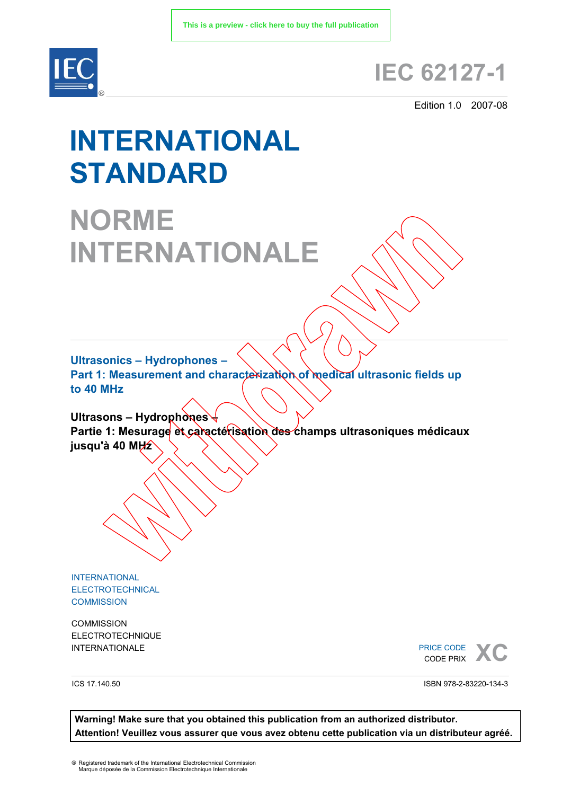

## **IEC 62127-1**

Edition 1.0 2007-08

# **INTERNATIONAL STANDARD**

**NORME INTERNATIONALE**

**Ultrasonics – Hydrophones – Part 1: Measurement and characterization of medical ultrasonic fields up to 40 MHz**

Ultrasons – Hydrophones + Partie 1: Mesurage et caractérisation des champs ultrasoniques médicaux **jusqu'à 40 MHz**

INTERNATIONAL **ELECTROTECHNICAL COMMISSION** 

**COMMISSION** ELECTROTECHNIQUE

INTERNATIONALE PRICE CODE PRIX **XC** PRICE CODE CODE PRIX

ICS 17.140.50

ISBN 978-2-83220-134-3

**Warning! Make sure that you obtained this publication from an authorized distributor. Attention! Veuillez vous assurer que vous avez obtenu cette publication via un distributeur agréé.**

® Registered trademark of the International Electrotechnical Commission Marque déposée de la Commission Electrotechnique Internationale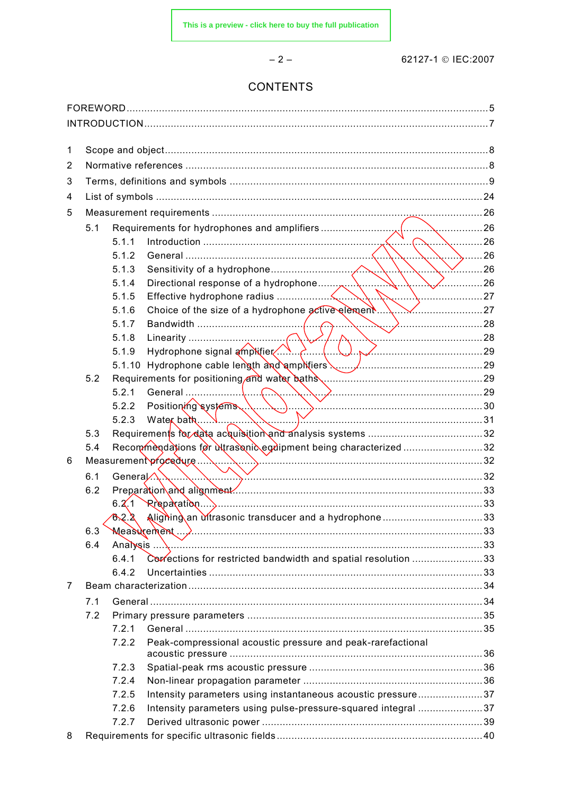62127-1 © IEC:2007

### **CONTENTS**

 $-2-$ 

| 1                                                                                                                                                                                                                                                                                                                                                                                                                                                                                                                                                          |            |                |                                                                                                                                                                                                                                                                                                                                                                                   |                    |
|------------------------------------------------------------------------------------------------------------------------------------------------------------------------------------------------------------------------------------------------------------------------------------------------------------------------------------------------------------------------------------------------------------------------------------------------------------------------------------------------------------------------------------------------------------|------------|----------------|-----------------------------------------------------------------------------------------------------------------------------------------------------------------------------------------------------------------------------------------------------------------------------------------------------------------------------------------------------------------------------------|--------------------|
| 2                                                                                                                                                                                                                                                                                                                                                                                                                                                                                                                                                          |            |                |                                                                                                                                                                                                                                                                                                                                                                                   |                    |
| 3                                                                                                                                                                                                                                                                                                                                                                                                                                                                                                                                                          |            |                |                                                                                                                                                                                                                                                                                                                                                                                   |                    |
| 4                                                                                                                                                                                                                                                                                                                                                                                                                                                                                                                                                          |            |                |                                                                                                                                                                                                                                                                                                                                                                                   |                    |
| 5                                                                                                                                                                                                                                                                                                                                                                                                                                                                                                                                                          |            |                |                                                                                                                                                                                                                                                                                                                                                                                   |                    |
|                                                                                                                                                                                                                                                                                                                                                                                                                                                                                                                                                            | 5.1        |                |                                                                                                                                                                                                                                                                                                                                                                                   |                    |
|                                                                                                                                                                                                                                                                                                                                                                                                                                                                                                                                                            |            | 5.1.1          |                                                                                                                                                                                                                                                                                                                                                                                   |                    |
|                                                                                                                                                                                                                                                                                                                                                                                                                                                                                                                                                            |            | 5.1.2          | $\ldots$ 26                                                                                                                                                                                                                                                                                                                                                                       |                    |
|                                                                                                                                                                                                                                                                                                                                                                                                                                                                                                                                                            |            | 5.1.3          |                                                                                                                                                                                                                                                                                                                                                                                   | $\ldots \ldots 26$ |
|                                                                                                                                                                                                                                                                                                                                                                                                                                                                                                                                                            |            | 5.1.4          |                                                                                                                                                                                                                                                                                                                                                                                   |                    |
|                                                                                                                                                                                                                                                                                                                                                                                                                                                                                                                                                            |            | 5.1.5          |                                                                                                                                                                                                                                                                                                                                                                                   |                    |
|                                                                                                                                                                                                                                                                                                                                                                                                                                                                                                                                                            |            | 5.1.6          | Choice of the size of a hydrophone active element                                                                                                                                                                                                                                                                                                                                 |                    |
|                                                                                                                                                                                                                                                                                                                                                                                                                                                                                                                                                            |            | 5.1.7          | Bandwidth $\ldots$ $\ldots$ $\ldots$ $\ldots$ $\ldots$ $\ldots$ $\ldots$ $\ldots$ $\ldots$ $\ldots$ $\ldots$ $\ldots$ $\ldots$ $\ldots$ $\ldots$ $\ldots$ $\ldots$ $\ldots$ $\ldots$ $\ldots$ $\ldots$ $\ldots$ $\ldots$ $\ldots$ $\ldots$ $\ldots$ $\ldots$ $\ldots$ $\ldots$ $\ldots$ $\ldots$ $\ldots$ $\ldots$ $\ldots$ $\ldots$<br>$\ldots$ 28                               |                    |
|                                                                                                                                                                                                                                                                                                                                                                                                                                                                                                                                                            |            | 5.1.8          |                                                                                                                                                                                                                                                                                                                                                                                   |                    |
|                                                                                                                                                                                                                                                                                                                                                                                                                                                                                                                                                            |            | 5.1.9          | $\bigcup$ $\bigcup$ $\bigcup$ $\bigcup$ $\bigcup$ $\bigcup$ $\bigcup$ $\bigcup$ $\bigcup$ $\bigcup$ $\bigcup$ $\bigcup$ $\bigcup$ $\bigcup$ $\bigcup$ $\bigcup$ $\bigcup$ $\bigcup$ $\bigcup$ $\bigcup$ $\bigcup$ $\bigcup$ $\bigcup$ $\bigcup$ $\bigcup$ $\bigcup$ $\bigcup$ $\bigcup$ $\bigcup$ $\bigcup$ $\bigcup$ $\bigcup$ $\bigcup$ $\bigcup$ $\bigcup$ $\bigcup$ $\bigcup$ |                    |
|                                                                                                                                                                                                                                                                                                                                                                                                                                                                                                                                                            |            |                |                                                                                                                                                                                                                                                                                                                                                                                   |                    |
|                                                                                                                                                                                                                                                                                                                                                                                                                                                                                                                                                            | 5.2        |                |                                                                                                                                                                                                                                                                                                                                                                                   |                    |
|                                                                                                                                                                                                                                                                                                                                                                                                                                                                                                                                                            |            | 5.2.1          | General                                                                                                                                                                                                                                                                                                                                                                           |                    |
|                                                                                                                                                                                                                                                                                                                                                                                                                                                                                                                                                            |            | 5.2.2          |                                                                                                                                                                                                                                                                                                                                                                                   |                    |
|                                                                                                                                                                                                                                                                                                                                                                                                                                                                                                                                                            |            |                |                                                                                                                                                                                                                                                                                                                                                                                   |                    |
|                                                                                                                                                                                                                                                                                                                                                                                                                                                                                                                                                            |            |                |                                                                                                                                                                                                                                                                                                                                                                                   |                    |
|                                                                                                                                                                                                                                                                                                                                                                                                                                                                                                                                                            |            |                |                                                                                                                                                                                                                                                                                                                                                                                   |                    |
| 6                                                                                                                                                                                                                                                                                                                                                                                                                                                                                                                                                          |            |                |                                                                                                                                                                                                                                                                                                                                                                                   |                    |
|                                                                                                                                                                                                                                                                                                                                                                                                                                                                                                                                                            |            |                |                                                                                                                                                                                                                                                                                                                                                                                   |                    |
| $\vee$ <sup>V</sup><br>Water bath $\mathcal{N}$<br>5.2.3<br>5.3<br>Recommendations for ultrasonic egaipment being characterized32<br>5.4<br>Measurement procedure<br>General $\wedge$ $\wedge$ $\wedge$ $\wedge$ $\wedge$ $\wedge$ $\wedge$ $\wedge$ $\wedge$ $\wedge$ $\wedge$ $\wedge$ $\wedge$ $\wedge$ $\wedge$ $\wedge$ $\wedge$ $\wedge$ $\wedge$ $\wedge$ $\wedge$ $\wedge$ $\wedge$ $\wedge$ $\wedge$ $\wedge$ $\wedge$ $\wedge$ $\wedge$ $\wedge$ $\wedge$ $\wedge$ $\wedge$ $\wedge$ $\wedge$ $\w$<br>6.1<br>6.2<br>$6.\overline{4}$ .1<br>6.2.X |            |                |                                                                                                                                                                                                                                                                                                                                                                                   |                    |
|                                                                                                                                                                                                                                                                                                                                                                                                                                                                                                                                                            |            |                |                                                                                                                                                                                                                                                                                                                                                                                   |                    |
|                                                                                                                                                                                                                                                                                                                                                                                                                                                                                                                                                            |            |                |                                                                                                                                                                                                                                                                                                                                                                                   |                    |
|                                                                                                                                                                                                                                                                                                                                                                                                                                                                                                                                                            | 6.3        |                |                                                                                                                                                                                                                                                                                                                                                                                   |                    |
|                                                                                                                                                                                                                                                                                                                                                                                                                                                                                                                                                            | 6.4        |                |                                                                                                                                                                                                                                                                                                                                                                                   |                    |
|                                                                                                                                                                                                                                                                                                                                                                                                                                                                                                                                                            |            | 6.4.1<br>6.4.2 | Corrections for restricted bandwidth and spatial resolution 33                                                                                                                                                                                                                                                                                                                    |                    |
| 7                                                                                                                                                                                                                                                                                                                                                                                                                                                                                                                                                          |            |                |                                                                                                                                                                                                                                                                                                                                                                                   |                    |
|                                                                                                                                                                                                                                                                                                                                                                                                                                                                                                                                                            |            |                |                                                                                                                                                                                                                                                                                                                                                                                   |                    |
|                                                                                                                                                                                                                                                                                                                                                                                                                                                                                                                                                            | 7.1<br>7.2 |                |                                                                                                                                                                                                                                                                                                                                                                                   |                    |
|                                                                                                                                                                                                                                                                                                                                                                                                                                                                                                                                                            |            | 7.2.1          |                                                                                                                                                                                                                                                                                                                                                                                   |                    |
|                                                                                                                                                                                                                                                                                                                                                                                                                                                                                                                                                            |            | 7.2.2          | Peak-compressional acoustic pressure and peak-rarefactional                                                                                                                                                                                                                                                                                                                       |                    |
|                                                                                                                                                                                                                                                                                                                                                                                                                                                                                                                                                            |            |                |                                                                                                                                                                                                                                                                                                                                                                                   |                    |
|                                                                                                                                                                                                                                                                                                                                                                                                                                                                                                                                                            |            | 7.2.3          |                                                                                                                                                                                                                                                                                                                                                                                   |                    |
|                                                                                                                                                                                                                                                                                                                                                                                                                                                                                                                                                            |            | 7.2.4          |                                                                                                                                                                                                                                                                                                                                                                                   |                    |
|                                                                                                                                                                                                                                                                                                                                                                                                                                                                                                                                                            |            | 7.2.5          | Intensity parameters using instantaneous acoustic pressure37                                                                                                                                                                                                                                                                                                                      |                    |
|                                                                                                                                                                                                                                                                                                                                                                                                                                                                                                                                                            |            | 7.2.6          | Intensity parameters using pulse-pressure-squared integral 37                                                                                                                                                                                                                                                                                                                     |                    |
|                                                                                                                                                                                                                                                                                                                                                                                                                                                                                                                                                            |            | 7.2.7          |                                                                                                                                                                                                                                                                                                                                                                                   |                    |
| 8                                                                                                                                                                                                                                                                                                                                                                                                                                                                                                                                                          |            |                |                                                                                                                                                                                                                                                                                                                                                                                   |                    |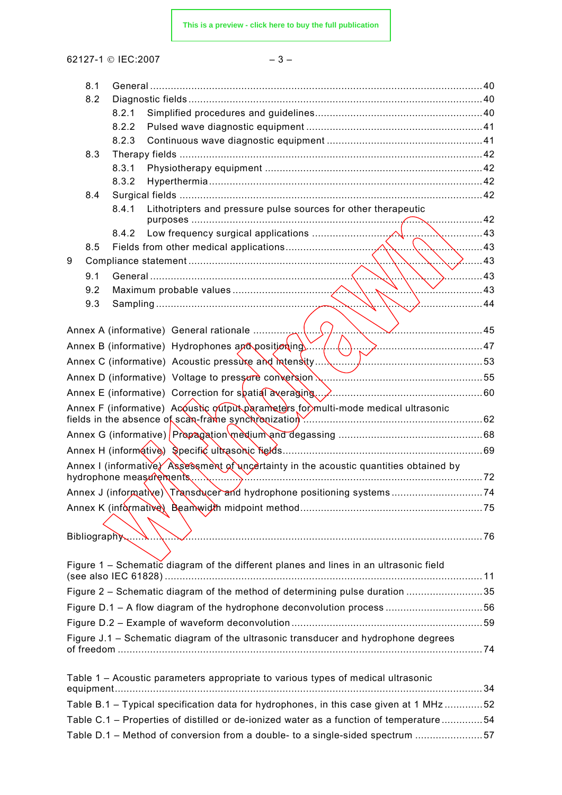**[This is a preview - click here to buy the full publication](https://webstore.iec.ch/publication/6486&preview)**

62127-1 © IEC:2007 – 3 –

|   | 8.1                                                                                |                                                                                        |  |  |
|---|------------------------------------------------------------------------------------|----------------------------------------------------------------------------------------|--|--|
|   | 8.2                                                                                |                                                                                        |  |  |
|   |                                                                                    | 8.2.1                                                                                  |  |  |
|   |                                                                                    | 8.2.2                                                                                  |  |  |
|   |                                                                                    | 8.2.3                                                                                  |  |  |
|   | 8.3                                                                                |                                                                                        |  |  |
|   |                                                                                    | 8.3.1                                                                                  |  |  |
|   |                                                                                    | 8.3.2                                                                                  |  |  |
|   | 8.4                                                                                |                                                                                        |  |  |
|   |                                                                                    | Lithotripters and pressure pulse sources for other therapeutic<br>8.4.1                |  |  |
|   |                                                                                    | 8.4.2                                                                                  |  |  |
|   | 8.5                                                                                |                                                                                        |  |  |
| 9 |                                                                                    | $\setminus$ $\setminus$ $\setminus$ $\setminus$ 43                                     |  |  |
|   | 9.1                                                                                | $\left\langle \ldots \left\langle \ldots \right\rangle \right\rangle$ 43               |  |  |
|   | 9.2                                                                                |                                                                                        |  |  |
|   | 9.3                                                                                |                                                                                        |  |  |
|   |                                                                                    |                                                                                        |  |  |
|   |                                                                                    |                                                                                        |  |  |
|   |                                                                                    | Annex B (informative) Hydrophones and positioning                                      |  |  |
|   |                                                                                    |                                                                                        |  |  |
|   |                                                                                    |                                                                                        |  |  |
|   |                                                                                    |                                                                                        |  |  |
|   |                                                                                    | Annex F (informative) Acoustic output parameters for multi-mode medical ultrasonic     |  |  |
|   |                                                                                    |                                                                                        |  |  |
|   |                                                                                    |                                                                                        |  |  |
|   |                                                                                    |                                                                                        |  |  |
|   |                                                                                    | Annex I (informative) Assessment of uncertainty in the acoustic quantities obtained by |  |  |
|   |                                                                                    | hydrophone measurements                                                                |  |  |
|   |                                                                                    | Annex J (informative) Transducer and hydrophone positioning systems74                  |  |  |
|   |                                                                                    |                                                                                        |  |  |
|   |                                                                                    |                                                                                        |  |  |
|   |                                                                                    |                                                                                        |  |  |
|   |                                                                                    |                                                                                        |  |  |
|   |                                                                                    | Figure 1 - Schematic diagram of the different planes and lines in an ultrasonic field  |  |  |
|   |                                                                                    |                                                                                        |  |  |
|   |                                                                                    | Figure 2 - Schematic diagram of the method of determining pulse duration 35            |  |  |
|   |                                                                                    |                                                                                        |  |  |
|   |                                                                                    |                                                                                        |  |  |
|   | Figure J.1 - Schematic diagram of the ultrasonic transducer and hydrophone degrees |                                                                                        |  |  |
|   |                                                                                    |                                                                                        |  |  |
|   |                                                                                    |                                                                                        |  |  |
|   |                                                                                    | Table 1 – Acoustic parameters appropriate to various types of medical ultrasonic       |  |  |
|   |                                                                                    |                                                                                        |  |  |
|   |                                                                                    | Table B.1 - Typical specification data for hydrophones, in this case given at 1 MHz52  |  |  |
|   |                                                                                    | Table C.1 - Properties of distilled or de-ionized water as a function of temperature54 |  |  |
|   | Table D.1 - Method of conversion from a double- to a single-sided spectrum 57      |                                                                                        |  |  |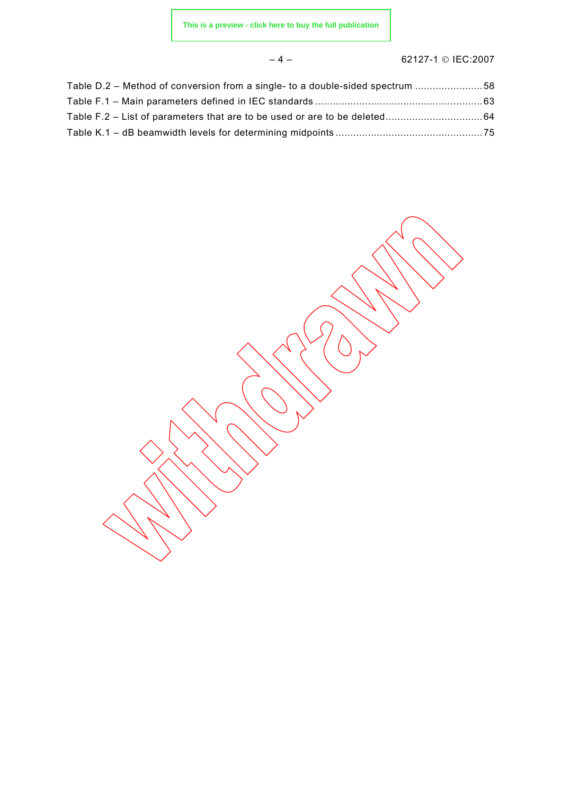$-4 -$  62127-1 © IEC:2007

| Table D.2 – Method of conversion from a single- to a double-sided spectrum 58 |  |
|-------------------------------------------------------------------------------|--|
|                                                                               |  |
|                                                                               |  |
|                                                                               |  |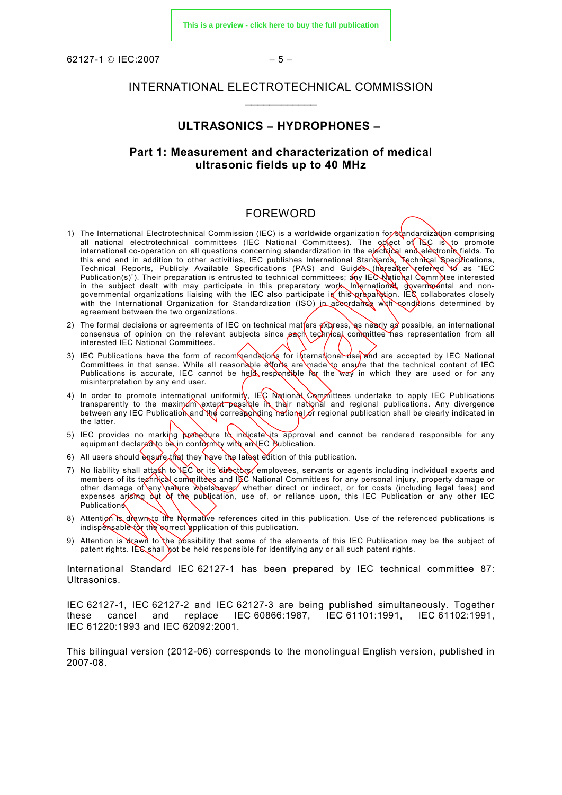62127-1 © IEC:2007 – 5 –

#### INTERNATIONAL ELECTROTECHNICAL COMMISSION \_\_\_\_\_\_\_\_\_\_\_\_

#### **ULTRASONICS – HYDROPHONES –**

### **Part 1: Measurement and characterization of medical ultrasonic fields up to 40 MHz**

#### FOREWORD

- <span id="page-4-0"></span>1) The International Electrotechnical Commission (IEC) is a worldwide organization for Standardization comprising all national electrotechnical committees (IEC National Committees). The object of IEC is to promote international co-operation on all questions concerning standardization in the electrical and electronic fields. To this end and in addition to other activities, IEC publishes International Standards, Technical Specifications, Technical Reports, Publicly Available Specifications (PAS) and Guides (hereafter \referred to as "IEC Publication(s)"). Their preparation is entrusted to technical committees; any IEC National Committee interested in the subject dealt with may participate in this preparatory work. International governmental and nongovernmental organizations liaising with the IEC also participate in this preparation. IEC collaborates closely with the International Organization for Standardization (ISO) in accordance with conditions determined by agreement between the two organizations.
- 2) The formal decisions or agreements of IEC on technical matters express, as nearly as possible, an international consensus of opinion on the relevant subjects since each technical committee has representation from all interested IEC National Committees.
- 3) IEC Publications have the form of recommendations for international use and are accepted by IEC National Committees in that sense. While all reasonable efforts are made to ensure that the technical content of IEC Publications is accurate, IEC cannot be held responsible for the way in which they are used or for any misinterpretation by any end user.
- 4) In order to promote international uniformity, IEC National Committees undertake to apply IEC Publications transparently to the maximum extent possible in their national and regional publications. Any divergence between any IEC Publication and the corresponding national or regional publication shall be clearly indicated in the latter.
- 5) IEC provides no marking procedure to indicate its approval and cannot be rendered responsible for any equipment declared to be in conformity with an IEC Bublication.
- 6) All users should ensure that they have the latest edition of this publication.
- 7) No liability shall attach to IEC or its directors, employees, servants or agents including individual experts and members of its technical committees and IEC National Committees for any personal injury, property damage or other damage of any nature whatsoever, whether direct or indirect, or for costs (including legal fees) and expenses arising out of the publication, use of, or reliance upon, this IEC Publication or any other IEC **Publications**
- 8) Attention is drawn to the Normative references cited in this publication. Use of the referenced publications is indispensable for the correct application of this publication.
- 9) Attention is drawn to the possibility that some of the elements of this IEC Publication may be the subject of patent rights. IEC shall not be held responsible for identifying any or all such patent rights.

International Standard IEC 62127-1 has been prepared by IEC technical committee 87: Ultrasonics.

IEC 62127-1, IEC 62127-2 and IEC 62127-3 are being published simultaneously. Together these cancel and replace IEC 60866:1987, IEC 61101:1991, IEC 60866:1987, IEC 61101:1991, IEC 61102:1991, IEC 61220:1993 and IEC 62092:2001.

This bilingual version (2012-06) corresponds to the monolingual English version, published in 2007-08.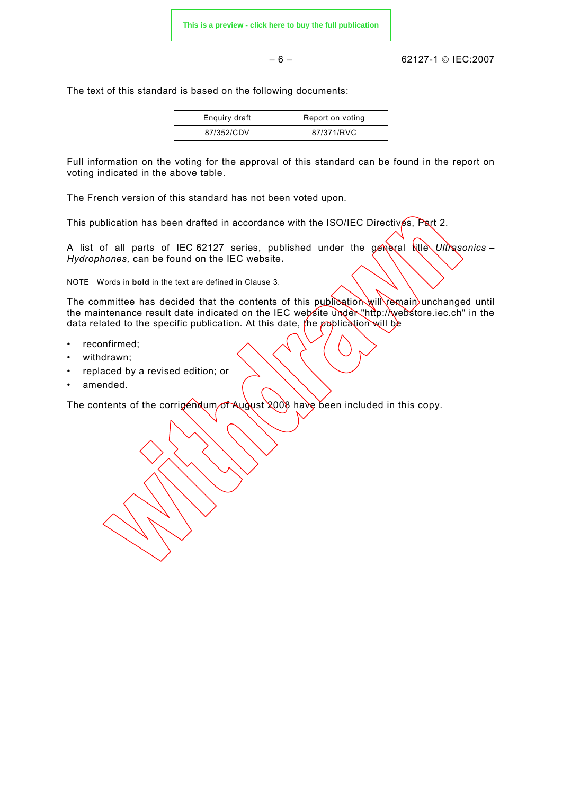$-6 - 6$  – 62127-1 © IEC:2007

The text of this standard is based on the following documents:

| Enguiry draft | Report on voting |
|---------------|------------------|
| 87/352/CDV    | 87/371/RVC       |

Full information on the voting for the approval of this standard can be found in the report on voting indicated in the above table.

The French version of this standard has not been voted upon.

This publication has been drafted in accordance with the ISO/IEC Directives, Part 2.

A list of all parts of IEC 62127 series, published under the general hitle *Ultrasonics* – *Hydrophones,* can be found on the IEC website**.** 

NOTE Words in **bold** in the text are defined in Clause 3.

The committee has decided that the contents of this publication will remain unchanged until the maintenance result date indicated on the IEC website under "http://webstore.iec.ch" in the data related to the specific publication. At this date, the publication will be

- reconfirmed;
- withdrawn;
- replaced by a revised edition; or
- amended.

The contents of the corrigendum of August 2008 have been included in this copy.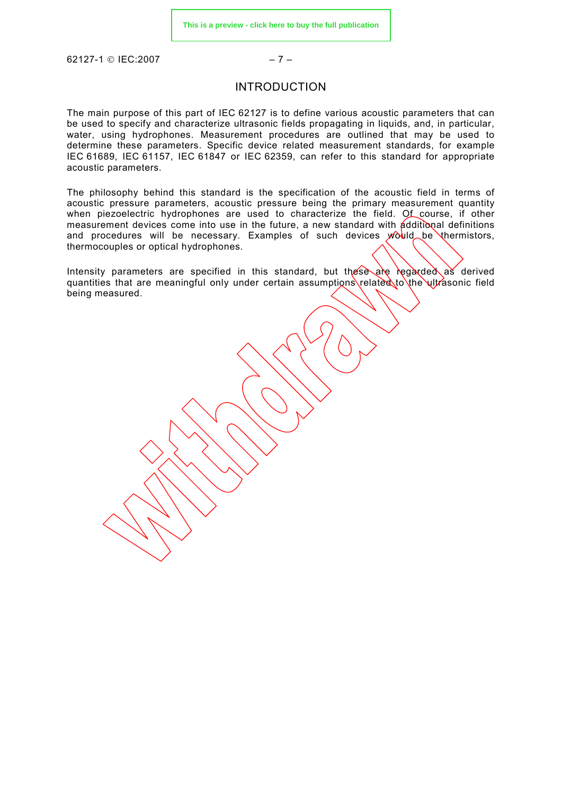<span id="page-6-0"></span>62127-1 © IEC:2007 – 7 –

#### INTRODUCTION

The main purpose of this part of IEC 62127 is to define various acoustic parameters that can be used to specify and characterize ultrasonic fields propagating in liquids, and, in particular, water, using hydrophones. Measurement procedures are outlined that may be used to determine these parameters. Specific device related measurement standards, for example IEC 61689, IEC 61157, IEC 61847 or IEC 62359, can refer to this standard for appropriate acoustic parameters.

The philosophy behind this standard is the specification of the acoustic field in terms of acoustic pressure parameters, acoustic pressure being the primary measurement quantity when piezoelectric hydrophones are used to characterize the field. Of course, if other measurement devices come into use in the future, a new standard with additional definitions and procedures will be necessary. Examples of such devices  $\mathbf{w}\hat{\mathbf{v}}$ uld be thermistors, thermocouples or optical hydrophones.

Intensity parameters are specified in this standard, but these are regarded as derived quantities that are meaningful only under certain assumptions related to the ultrasonic field being measured.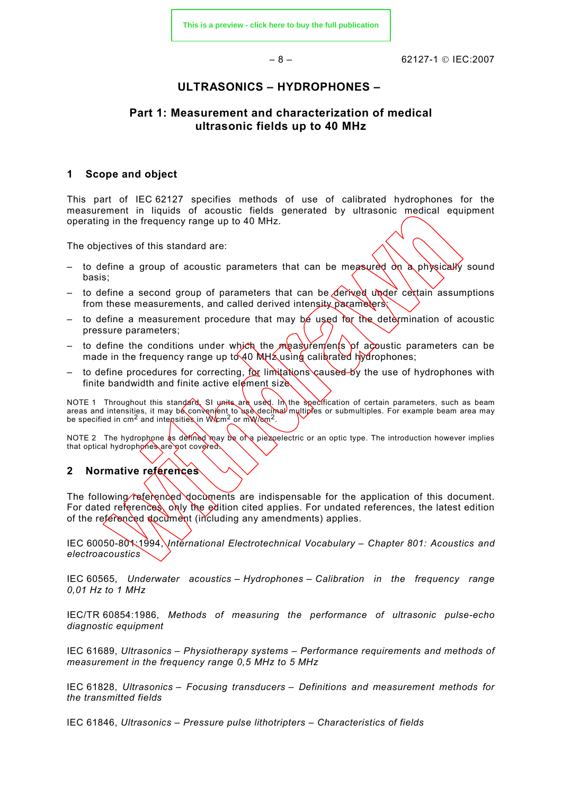$-8 - 8$  – 62127-1 © IFC:2007

#### **ULTRASONICS – HYDROPHONES –**

#### **Part 1: Measurement and characterization of medical ultrasonic fields up to 40 MHz**

#### <span id="page-7-0"></span>**1 Scope and object**

This part of IEC 62127 specifies methods of use of calibrated hydrophones for the measurement in liquids of acoustic fields generated by ultrasonic medical equipment operating in the frequency range up to 40 MHz.

The objectives of this standard are:

- to define a group of acoustic parameters that can be measured on a physically sound basis;
- to define a second group of parameters that can be derived under certain assumptions from these measurements, and called derived intensity parameters
- $-$  to define a measurement procedure that may be used for the deteymination of acoustic pressure parameters;
- to define the conditions under which the measurements of acoustic parameters can be made in the frequency range up to 40 MH $\frac{1}{2}$ using calibrated hydrophones;
- to define procedures for correcting,  $\hat{p}$  limitations caused by the use of hydrophones with finite bandwidth and finite active element size.

NOTE 1 Throughout this standard, SI units are used. In the specification of certain parameters, such as beam areas and intensities, it may be convenient to use decimal multiples or submultiples. For example beam area may be specified in cm<sup>2</sup> and intensities in Wom<sup>2</sup> or mW/cm<sup>2</sup>.

NOTE 2 The hydrophone as defined may be one piezoelectric or an optic type. The introduction however implies that optical hydrophones are not covered.

#### <span id="page-7-1"></span>**2 Normative references**

The following referenced documents are indispensable for the application of this document. For dated references, only the edition cited applies. For undated references, the latest edition of the referenced document (including any amendments) applies.

IEC 60050-801:1994, *International Electrotechnical Vocabulary – Chapter 801: Acoustics and electroacoustics*

IEC 60565, *Underwater acoustics – Hydrophones – Calibration in the frequency range 0,01 Hz to 1 MHz*

IEC/TR 60854:1986, *Methods of measuring the performance of ultrasonic pulse-echo diagnostic equipment*

IEC 61689, *Ultrasonics – Physiotherapy systems – Performance requirements and methods of measurement in the frequency range 0,5 MHz to 5 MHz*

IEC 61828, *Ultrasonics – Focusing transducers – Definitions and measurement methods for the transmitted fields*

IEC 61846, *Ultrasonics – Pressure pulse lithotripters – Characteristics of fields*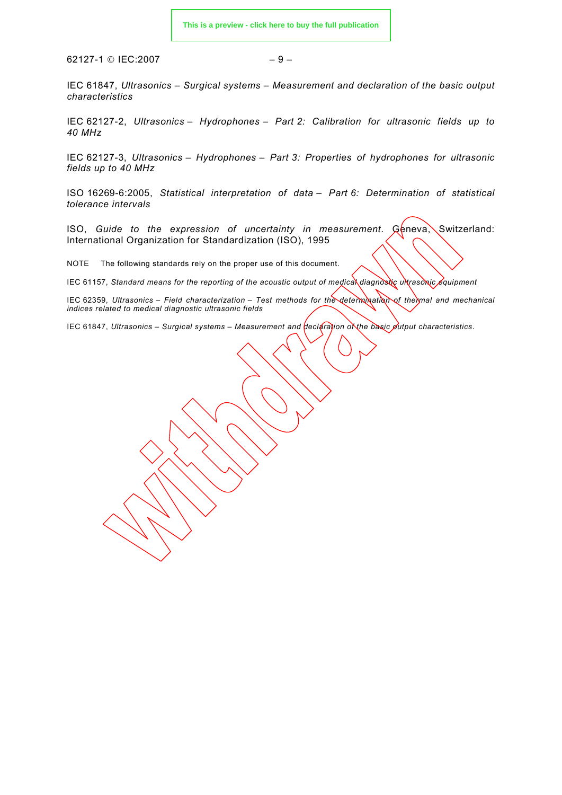$62127-1$  © IEC:2007 – 9 –

IEC 61847, *Ultrasonics – Surgical systems – Measurement and declaration of the basic output characteristics*

IEC 62127-2, *Ultrasonics – Hydrophones – Part 2: Calibration for ultrasonic fields up to 40 MHz*

IEC 62127-3, *Ultrasonics – Hydrophones – Part 3: Properties of hydrophones for ultrasonic fields up to 40 MHz*

ISO 16269-6:2005, *Statistical interpretation of data – Part 6: Determination of statistical tolerance intervals*

ISO, *Guide to the expression of uncertainty in measurement*. Geneva, Switzerland: International Organization for Standardization (ISO), 1995

NOTE The following standards rely on the proper use of this document.

 $\Delta$  document to be used in particular medical ultrasound device standards.

<span id="page-8-0"></span>**3 Terms, definitions and symbols**

NOTE 2 Definition adopted from IEC 60469-1.

**acoustic pulse waveform**

**acoustic repetition period**

**acoustic pressure**.

IEC 61157, *Standard means for the reporting of the acoustic output of medical diagnostic ultrasonic equipment*

IEC 62359, *Ultrasonics – Field characterization – Test methods for the determination of thermal and mechanical indices related to medical diagnostic ultrasonic fields*

 $\sigma$  the terms and definitions and definitions given in IEC 62127-2,  $\sigma$ IEC 62127-3 and the following apply. It also includes definitions related to subject subjects in this relation

temporal waveform of the instantaneous acoustic pressure at a specified position in an analysis of the interval acoustic field and displayed over a period sufficiently long to include all significant acoustic acoustic sufficient acoustic sufficient and  $\mathcal{A}$ 

 $\lambda$  is a representation (e.g oscilloscope presentation) of the  $\lambda$ 

information in a single pulse or tone-burst, or one or more cycles in a continuous wave

IEC 61847, *Ultrasonics – Surgical systems – Measurement and declaration of the basic output characteristics*.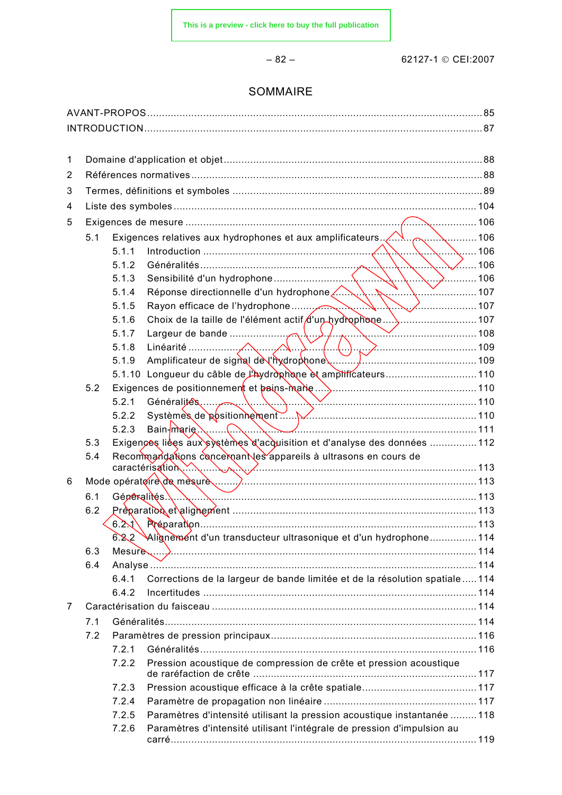– 82 – 62127-1 CEI:2007

### SOMMAIRE

| $\mathbf 1$    |                                                                                |       |                                                                                                                                                                                                                                                                                                                                                                                                                                                                                                                                                                                                                                                                                                                                                    |  |  |
|----------------|--------------------------------------------------------------------------------|-------|----------------------------------------------------------------------------------------------------------------------------------------------------------------------------------------------------------------------------------------------------------------------------------------------------------------------------------------------------------------------------------------------------------------------------------------------------------------------------------------------------------------------------------------------------------------------------------------------------------------------------------------------------------------------------------------------------------------------------------------------------|--|--|
| 2              |                                                                                |       |                                                                                                                                                                                                                                                                                                                                                                                                                                                                                                                                                                                                                                                                                                                                                    |  |  |
| 3              |                                                                                |       |                                                                                                                                                                                                                                                                                                                                                                                                                                                                                                                                                                                                                                                                                                                                                    |  |  |
| 4              |                                                                                |       |                                                                                                                                                                                                                                                                                                                                                                                                                                                                                                                                                                                                                                                                                                                                                    |  |  |
| 5              |                                                                                |       |                                                                                                                                                                                                                                                                                                                                                                                                                                                                                                                                                                                                                                                                                                                                                    |  |  |
|                | 5.1                                                                            |       |                                                                                                                                                                                                                                                                                                                                                                                                                                                                                                                                                                                                                                                                                                                                                    |  |  |
|                |                                                                                | 5.1.1 | $\lambda$ $\lambda$ 106                                                                                                                                                                                                                                                                                                                                                                                                                                                                                                                                                                                                                                                                                                                            |  |  |
|                |                                                                                | 5.1.2 |                                                                                                                                                                                                                                                                                                                                                                                                                                                                                                                                                                                                                                                                                                                                                    |  |  |
|                |                                                                                | 5.1.3 |                                                                                                                                                                                                                                                                                                                                                                                                                                                                                                                                                                                                                                                                                                                                                    |  |  |
|                |                                                                                | 5.1.4 | Réponse directionnelle d'un hydrophone (Alexandre March 107                                                                                                                                                                                                                                                                                                                                                                                                                                                                                                                                                                                                                                                                                        |  |  |
|                |                                                                                | 5.1.5 |                                                                                                                                                                                                                                                                                                                                                                                                                                                                                                                                                                                                                                                                                                                                                    |  |  |
|                |                                                                                | 5.1.6 |                                                                                                                                                                                                                                                                                                                                                                                                                                                                                                                                                                                                                                                                                                                                                    |  |  |
|                |                                                                                | 5.1.7 |                                                                                                                                                                                                                                                                                                                                                                                                                                                                                                                                                                                                                                                                                                                                                    |  |  |
|                |                                                                                | 5.1.8 | $\left\langle \left\langle \left\langle \cdot \right\rangle \right\rangle _{\cdot \cdot \left\langle \cdot \right\rangle }\right\rangle _{\cdot \cdot \left\langle \cdot \right\rangle }\right\rangle _{\cdot \left\langle \cdot \right\rangle }\right\rangle _{\cdot \left\langle \cdot \right\rangle }\right\rangle _{\cdot \left\langle \cdot \right\rangle }\right\rangle _{\cdot \left\langle \cdot \right\rangle }\left\langle \left\langle \left\langle \cdot \right\rangle \right\rangle _{\cdot \left\langle \cdot \right\rangle }\right\rangle _{\cdot \left\langle \cdot \right\rangle }\right\rangle _{\cdot \left\langle \cdot \right\rangle }\left\langle \left\langle \cdot \right\rangle \right\rangle _{\cdot \left\langle \cdot$ |  |  |
|                |                                                                                | 5.1.9 |                                                                                                                                                                                                                                                                                                                                                                                                                                                                                                                                                                                                                                                                                                                                                    |  |  |
|                |                                                                                |       | 5.1.10 Longueur du câble de l'Aydrophone et amplificateurs 110                                                                                                                                                                                                                                                                                                                                                                                                                                                                                                                                                                                                                                                                                     |  |  |
|                | 5.2                                                                            |       |                                                                                                                                                                                                                                                                                                                                                                                                                                                                                                                                                                                                                                                                                                                                                    |  |  |
|                |                                                                                | 5.2.1 |                                                                                                                                                                                                                                                                                                                                                                                                                                                                                                                                                                                                                                                                                                                                                    |  |  |
|                |                                                                                | 5.2.2 |                                                                                                                                                                                                                                                                                                                                                                                                                                                                                                                                                                                                                                                                                                                                                    |  |  |
|                |                                                                                | 5.2.3 |                                                                                                                                                                                                                                                                                                                                                                                                                                                                                                                                                                                                                                                                                                                                                    |  |  |
|                | 5.3<br>Exigences liées aux systèmes d'acquisition et d'analyse des données 112 |       |                                                                                                                                                                                                                                                                                                                                                                                                                                                                                                                                                                                                                                                                                                                                                    |  |  |
|                | 5.4                                                                            |       | Recommandations concemant les appareils à ultrasons en cours de<br>caractérisation 113                                                                                                                                                                                                                                                                                                                                                                                                                                                                                                                                                                                                                                                             |  |  |
| 6              |                                                                                |       |                                                                                                                                                                                                                                                                                                                                                                                                                                                                                                                                                                                                                                                                                                                                                    |  |  |
|                | 6.1                                                                            |       |                                                                                                                                                                                                                                                                                                                                                                                                                                                                                                                                                                                                                                                                                                                                                    |  |  |
|                | 6.2                                                                            |       |                                                                                                                                                                                                                                                                                                                                                                                                                                                                                                                                                                                                                                                                                                                                                    |  |  |
|                |                                                                                |       |                                                                                                                                                                                                                                                                                                                                                                                                                                                                                                                                                                                                                                                                                                                                                    |  |  |
|                |                                                                                | 6.82  | Alignement d'un transducteur ultrasonique et d'un hydrophone 114                                                                                                                                                                                                                                                                                                                                                                                                                                                                                                                                                                                                                                                                                   |  |  |
|                | 6.3                                                                            |       |                                                                                                                                                                                                                                                                                                                                                                                                                                                                                                                                                                                                                                                                                                                                                    |  |  |
|                | 6.4                                                                            |       |                                                                                                                                                                                                                                                                                                                                                                                                                                                                                                                                                                                                                                                                                                                                                    |  |  |
|                |                                                                                | 6.4.1 | Corrections de la largeur de bande limitée et de la résolution spatiale114                                                                                                                                                                                                                                                                                                                                                                                                                                                                                                                                                                                                                                                                         |  |  |
|                |                                                                                | 6.4.2 |                                                                                                                                                                                                                                                                                                                                                                                                                                                                                                                                                                                                                                                                                                                                                    |  |  |
| $\overline{7}$ |                                                                                |       |                                                                                                                                                                                                                                                                                                                                                                                                                                                                                                                                                                                                                                                                                                                                                    |  |  |
|                | 7.1                                                                            |       |                                                                                                                                                                                                                                                                                                                                                                                                                                                                                                                                                                                                                                                                                                                                                    |  |  |
|                | 7.2                                                                            |       |                                                                                                                                                                                                                                                                                                                                                                                                                                                                                                                                                                                                                                                                                                                                                    |  |  |
|                |                                                                                | 7.2.1 |                                                                                                                                                                                                                                                                                                                                                                                                                                                                                                                                                                                                                                                                                                                                                    |  |  |
|                |                                                                                | 7.2.2 | Pression acoustique de compression de crête et pression acoustique                                                                                                                                                                                                                                                                                                                                                                                                                                                                                                                                                                                                                                                                                 |  |  |
|                |                                                                                | 7.2.3 |                                                                                                                                                                                                                                                                                                                                                                                                                                                                                                                                                                                                                                                                                                                                                    |  |  |
|                |                                                                                | 7.2.4 |                                                                                                                                                                                                                                                                                                                                                                                                                                                                                                                                                                                                                                                                                                                                                    |  |  |
|                |                                                                                | 7.2.5 | Paramètres d'intensité utilisant la pression acoustique instantanée  118                                                                                                                                                                                                                                                                                                                                                                                                                                                                                                                                                                                                                                                                           |  |  |
|                |                                                                                | 7.2.6 | Paramètres d'intensité utilisant l'intégrale de pression d'impulsion au                                                                                                                                                                                                                                                                                                                                                                                                                                                                                                                                                                                                                                                                            |  |  |
|                |                                                                                |       |                                                                                                                                                                                                                                                                                                                                                                                                                                                                                                                                                                                                                                                                                                                                                    |  |  |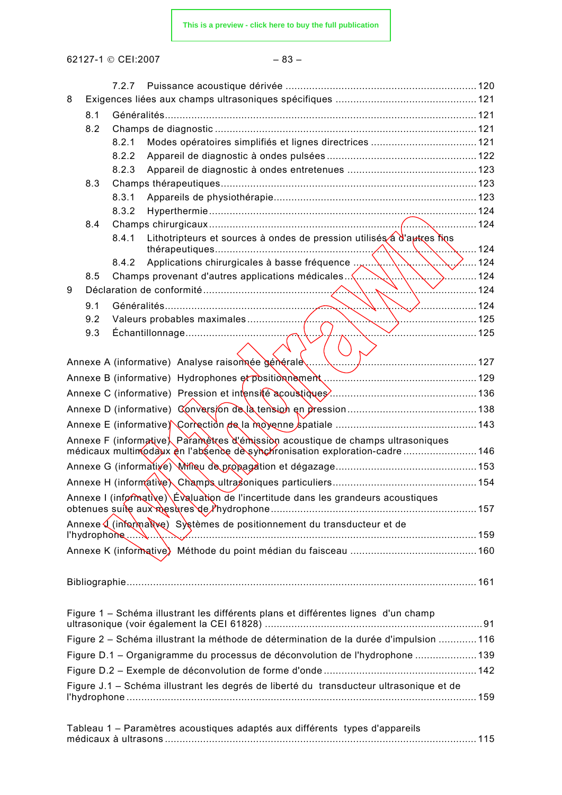$62127-1$  © CEI:2007 – 83 –

| 8                                                                                       |     |       |                                                                                                                                                                |                |  |  |
|-----------------------------------------------------------------------------------------|-----|-------|----------------------------------------------------------------------------------------------------------------------------------------------------------------|----------------|--|--|
|                                                                                         | 8.1 |       |                                                                                                                                                                |                |  |  |
|                                                                                         | 8.2 |       |                                                                                                                                                                |                |  |  |
|                                                                                         |     | 8.2.1 | Modes opératoires simplifiés et lignes directrices  121                                                                                                        |                |  |  |
|                                                                                         |     | 8.2.2 |                                                                                                                                                                |                |  |  |
|                                                                                         |     | 8.2.3 |                                                                                                                                                                |                |  |  |
|                                                                                         | 8.3 |       |                                                                                                                                                                |                |  |  |
|                                                                                         |     | 8.3.1 |                                                                                                                                                                |                |  |  |
|                                                                                         |     | 8.3.2 |                                                                                                                                                                |                |  |  |
|                                                                                         | 8.4 |       |                                                                                                                                                                |                |  |  |
|                                                                                         |     | 8.4.1 | Lithotripteurs et sources à ondes de pression utilisés à d'autres fins                                                                                         | $\ldots$ . 124 |  |  |
|                                                                                         |     | 8.4.2 |                                                                                                                                                                |                |  |  |
|                                                                                         | 8.5 |       | Champs provenant d'autres applications médicales. (2008). (2009). (2014). (2014).                                                                              |                |  |  |
| 9                                                                                       |     |       |                                                                                                                                                                |                |  |  |
|                                                                                         | 9.1 |       | $\sim$ 124                                                                                                                                                     |                |  |  |
|                                                                                         | 9.2 |       |                                                                                                                                                                |                |  |  |
|                                                                                         | 9.3 |       |                                                                                                                                                                |                |  |  |
|                                                                                         |     |       |                                                                                                                                                                |                |  |  |
|                                                                                         |     |       |                                                                                                                                                                |                |  |  |
| $\smile$                                                                                |     |       |                                                                                                                                                                |                |  |  |
|                                                                                         |     |       |                                                                                                                                                                |                |  |  |
|                                                                                         |     |       |                                                                                                                                                                |                |  |  |
|                                                                                         |     |       |                                                                                                                                                                |                |  |  |
|                                                                                         |     |       |                                                                                                                                                                |                |  |  |
|                                                                                         |     |       | Annexe F (informative) Parametres d'émission acoustique de champs ultrasoniques<br>médicaux multimodaux en l'absence de synchronisation exploration-cadre  146 |                |  |  |
|                                                                                         |     |       |                                                                                                                                                                |                |  |  |
|                                                                                         |     |       |                                                                                                                                                                |                |  |  |
|                                                                                         |     |       | Annexe I (informative) Evaluation de l'incertitude dans les grandeurs acoustiques                                                                              |                |  |  |
|                                                                                         |     |       |                                                                                                                                                                |                |  |  |
|                                                                                         |     |       | Annexe (informative) Systèmes de positionnement du transducteur et de                                                                                          |                |  |  |
|                                                                                         |     |       | $l'$ hydrophone $\ldots \setminus \ldots$                                                                                                                      |                |  |  |
|                                                                                         |     |       |                                                                                                                                                                |                |  |  |
|                                                                                         |     |       |                                                                                                                                                                |                |  |  |
|                                                                                         |     |       |                                                                                                                                                                |                |  |  |
|                                                                                         |     |       |                                                                                                                                                                |                |  |  |
|                                                                                         |     |       |                                                                                                                                                                |                |  |  |
|                                                                                         |     |       | Figure 1 – Schéma illustrant les différents plans et différentes lignes d'un champ                                                                             |                |  |  |
|                                                                                         |     |       | Figure 2 - Schéma illustrant la méthode de détermination de la durée d'impulsion 116                                                                           |                |  |  |
|                                                                                         |     |       | Figure D.1 - Organigramme du processus de déconvolution de l'hydrophone  139                                                                                   |                |  |  |
|                                                                                         |     |       |                                                                                                                                                                |                |  |  |
| Figure J.1 - Schéma illustrant les degrés de liberté du transducteur ultrasonique et de |     |       |                                                                                                                                                                |                |  |  |
|                                                                                         |     |       |                                                                                                                                                                |                |  |  |
|                                                                                         |     |       |                                                                                                                                                                |                |  |  |
|                                                                                         |     |       |                                                                                                                                                                |                |  |  |

| Tableau 1 – Paramètres acoustiques adaptés aux différents types d'appareils |  |
|-----------------------------------------------------------------------------|--|
|                                                                             |  |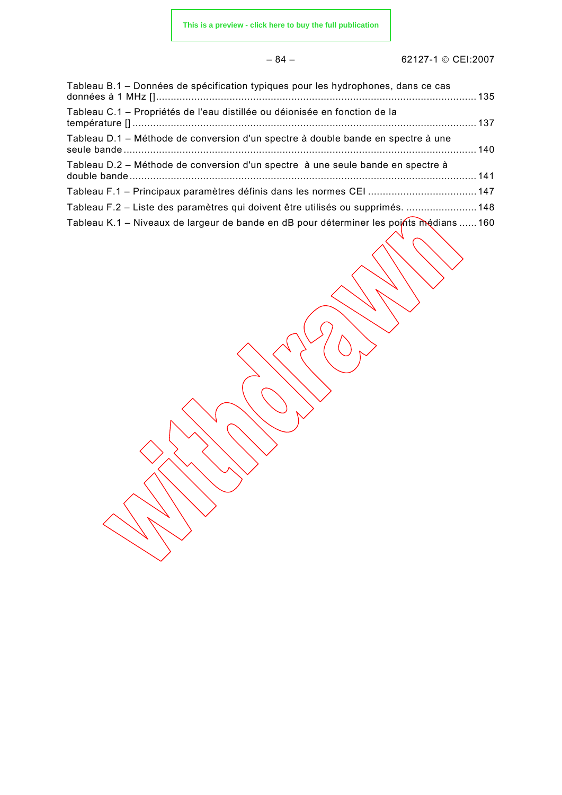### – 84 – 62127-1 © CEI:2007

| Tableau B.1 – Données de spécification typiques pour les hydrophones, dans ce cas       |  |
|-----------------------------------------------------------------------------------------|--|
| Tableau C.1 – Propriétés de l'eau distillée ou déionisée en fonction de la              |  |
| Tableau D.1 – Méthode de conversion d'un spectre à double bande en spectre à une        |  |
| Tableau D.2 – Méthode de conversion d'un spectre à une seule bande en spectre à         |  |
|                                                                                         |  |
| Tableau F.2 - Liste des paramètres qui doivent être utilisés ou supprimés.  148         |  |
| Tableau K.1 - Niveaux de largeur de bande en dB pour déterminer les points médians  160 |  |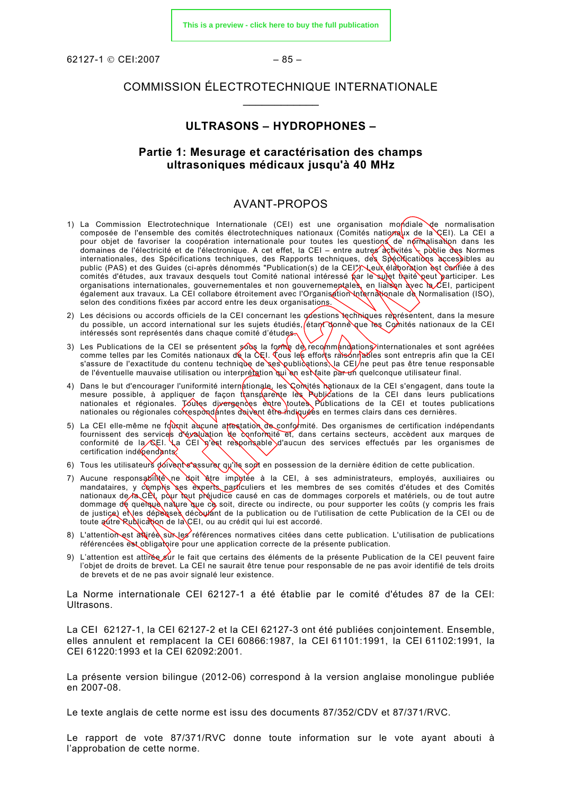$62127-1$  © CFI:2007 – 85

### COMMISSION ÉLECTROTECHNIQUE INTERNATIONALE \_\_\_\_\_\_\_\_\_\_\_\_

#### **ULTRASONS – HYDROPHONES –**

### **Partie 1: Mesurage et caractérisation des champs ultrasoniques médicaux jusqu'à 40 MHz**

#### AVANT-PROPOS

- 1) La Commission Electrotechnique Internationale (CEI) est une organisation mondiale de normalisation composée de l'ensemble des comités électrotechniques nationaux (Comités nationaux de la CEI). La CEI a pour objet de favoriser la coopération internationale pour toutes les questions de normalisation dans les domaines de l'électricité et de l'électronique. A cet effet, la CEI – entre autres activités – publie des Normes internationales, des Spécifications techniques, des Rapports techniques, des Spécifications accessibles au public (PAS) et des Guides (ci-après dénommés "Publication(s) de la CEI"). Leux élaboration est confiée à des comités d'études, aux travaux desquels tout Comité national intéressé par le sujet traité peut participer. Les organisations internationales, gouvernementales et non gouvernementales, en liaison avec la CEI, participent également aux travaux. La CEI collabore étroitement avec l'Organisation Internationale de Normalisation (ISO), selon des conditions fixées par accord entre les deux organisations.
- 2) Les décisions ou accords officiels de la CEI concernant les questions techniques représentent, dans la mesure du possible, un accord international sur les sujets étudiés, etant donné que les Comités nationaux de la CEI intéressés sont représentés dans chaque comité d'études.
- 3) Les Publications de la CEI se présentent sous la forme de recommandations internationales et sont agréées comme telles par les Comités nationaux de la CEI. Tous les efforts raisonnables sont entrepris afin que la CEI s'assure de l'exactitude du contenu technique de ses publications, la CEI/ne peut pas être tenue responsable de l'éventuelle mauvaise utilisation ou interprétation qui en est faite par un quelconque utilisateur final.
- 4) Dans le but d'encourager l'uniformité internationale, les Comités nationaux de la CEI s'engagent, dans toute la mesure possible, à appliquer de façon transparente les Publications de la CEI dans leurs publications nationales et régionales. Joutes divergences entre toutes Publications de la CEI et toutes publications nationales ou régionales correspondantes doivent être indiquées en termes clairs dans ces dernières.
- 5) La CEI elle-même ne fouxnit aucune attestation de conformité. Des organismes de certification indépendants fournissent des services d'évaluation de conformité et, dans certains secteurs, accèdent aux marques de conformité de la CEI. La CEI n'est responsable d'aucun des services effectués par les organismes de certification indépendants
- 6) Tous les utilisateurs doivent s'assurer qu'ils sont en possession de la dernière édition de cette publication.
- 7) Aucune responsabilité ne doit être impotée à la CEI, à ses administrateurs, employés, auxiliaires ou mandataires, y complis ses experts particuliers et les membres de ses comités d'études et des Comités nationaux de la CEI, pour tout préjudice causé en cas de dommages corporels et matériels, ou de tout autre dommage de quelque nature que ce soit, directe ou indirecte, ou pour supporter les coûts (y compris les frais de justice) et les dépenses découlant de la publication ou de l'utilisation de cette Publication de la CEI ou de toute autre Rublication de la CEI, ou au crédit qui lui est accordé.
- 8) L'attention est attirée sur les références normatives citées dans cette publication. L'utilisation de publications référencées est obligatoire pour une application correcte de la présente publication.
- 9) L'attention est attirée sur le fait que certains des éléments de la présente Publication de la CEI peuvent faire l'objet de droits de brevet. La CEI ne saurait être tenue pour responsable de ne pas avoir identifié de tels droits de brevets et de ne pas avoir signalé leur existence.

La Norme internationale CEI 62127-1 a été établie par le comité d'études 87 de la CEI: Ultrasons.

La CEI 62127-1, la CEI 62127-2 et la CEI 62127-3 ont été publiées conjointement. Ensemble, elles annulent et remplacent la CEI 60866:1987, la CEI 61101:1991, la CEI 61102:1991, la CEI 61220:1993 et la CEI 62092:2001.

La présente version bilingue (2012-06) correspond à la version anglaise monolingue publiée en 2007-08.

Le texte anglais de cette norme est issu des documents 87/352/CDV et 87/371/RVC.

Le rapport de vote 87/371/RVC donne toute information sur le vote ayant abouti à l'approbation de cette norme.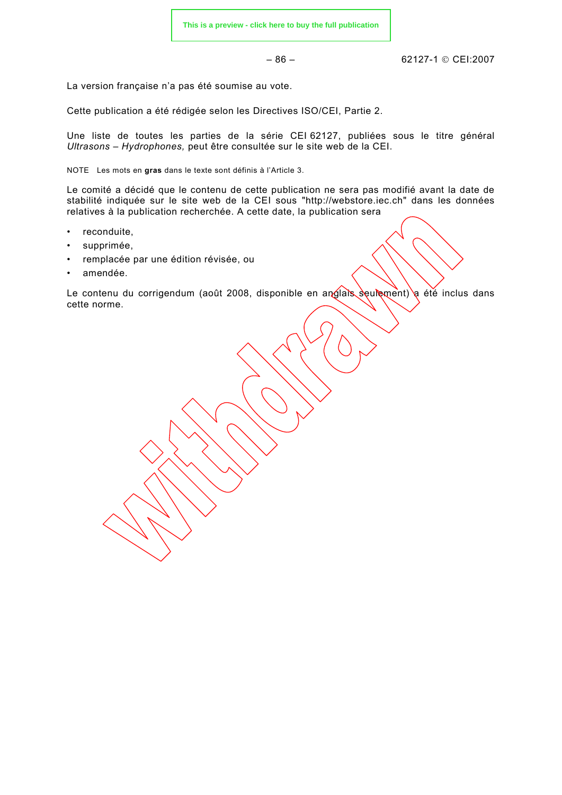$-86 - 62127 - 1 \odot \text{CE}$ 

La version française n'a pas été soumise au vote.

Cette publication a été rédigée selon les Directives ISO/CEI, Partie 2.

Une liste de toutes les parties de la série CEI 62127, publiées sous le titre général *Ultrasons – Hydrophones,* peut être consultée sur le site web de la CEI.

NOTE Les mots en **gras** dans le texte sont définis à l'Article 3.

Le comité a décidé que le contenu de cette publication ne sera pas modifié avant la date de stabilité indiquée sur le site web de la CEI sous "http://webstore.iec.ch" dans les données relatives à la publication recherchée. A cette date, la publication sera

- reconduite,
- supprimée,
- remplacée par une édition révisée, ou
- amendée.

Le contenu du corrigendum (août 2008, disponible en anglais seulement) a été inclus dans cette norme.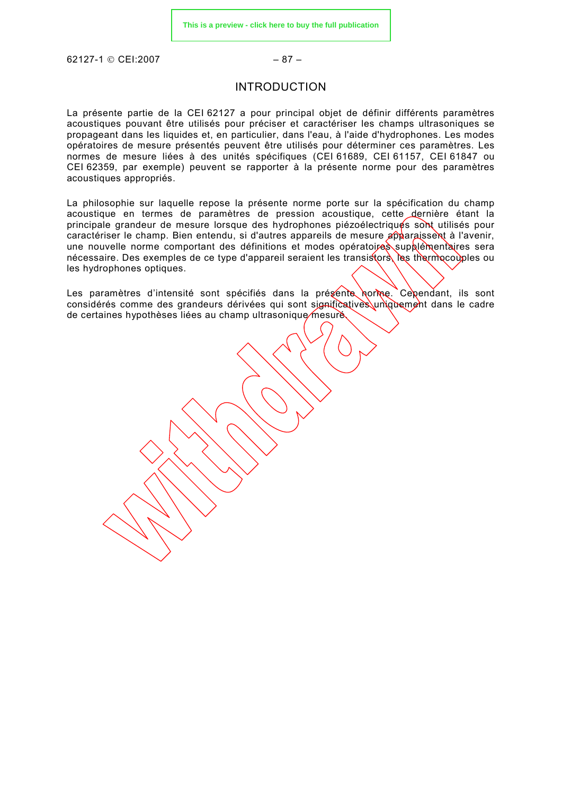$62127-1$  © CEI:2007 – 87 –

#### INTRODUCTION

La présente partie de la CEI 62127 a pour principal objet de définir différents paramètres acoustiques pouvant être utilisés pour préciser et caractériser les champs ultrasoniques se propageant dans les liquides et, en particulier, dans l'eau, à l'aide d'hydrophones. Les modes opératoires de mesure présentés peuvent être utilisés pour déterminer ces paramètres. Les normes de mesure liées à des unités spécifiques (CEI 61689, CEI 61157, CEI 61847 ou CEI 62359, par exemple) peuvent se rapporter à la présente norme pour des paramètres acoustiques appropriés.

La philosophie sur laquelle repose la présente norme porte sur la spécification du champ acoustique en termes de paramètres de pression acoustique, cette dernière étant la principale grandeur de mesure lorsque des hydrophones piézoélectriques sont utilisés pour caractériser le champ. Bien entendu, si d'autres appareils de mesure  $\hat{a}$ pparaissent à l'avenir, une nouvelle norme comportant des définitions et modes opératoires supplémentaires sera nécessaire. Des exemples de ce type d'appareil seraient les transistors, les thermocouples ou les hydrophones optiques.

Les paramètres d'intensité sont spécifiés dans la prégente horme. Cependant, ils sont considérés comme des grandeurs dérivées qui sont significatives uniquement dans le cadre de certaines hypothèses liées au champ ultrasonique mesuré.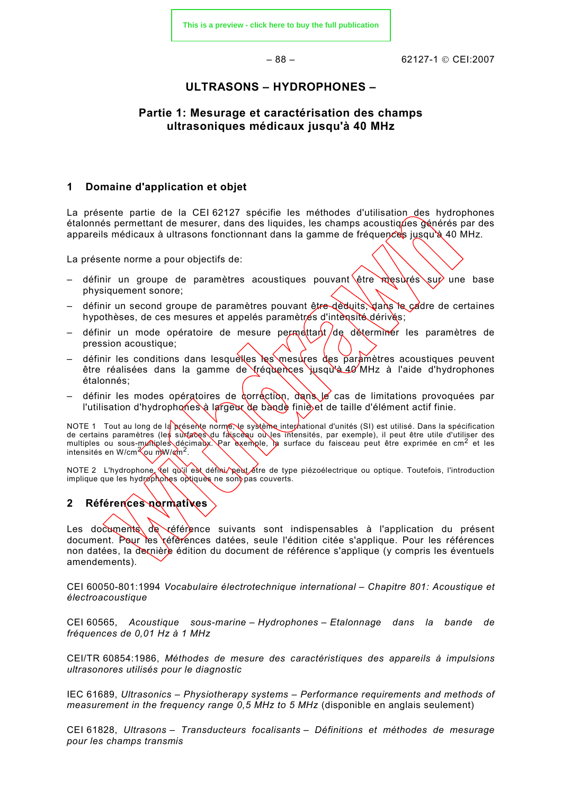$-88 - 62127-1 \circ \text{CF}12007$ 

#### **ULTRASONS – HYDROPHONES –**

#### **Partie 1: Mesurage et caractérisation des champs ultrasoniques médicaux jusqu'à 40 MHz**

#### **1 Domaine d'application et objet**

La présente partie de la CEI 62127 spécifie les méthodes d'utilisation des hydrophones étalonnés permettant de mesurer, dans des liquides, les champs acoustiques générés par des appareils médicaux à ultrasons fonctionnant dans la gamme de fréquences jusqu'à 40 MHz.

La présente norme a pour objectifs de:

- définir un groupe de paramètres acoustiques pouvant être  $m$ esurés sur une base physiquement sonore;
- définir un second groupe de paramètres pouvant être déduits, dans le cadre de certaines hypothèses, de ces mesures et appelés paramètres d'intènsité dérivés;
- $-$  définir un mode opératoire de mesure permettant  $\sqrt{dq}$  déterminer les paramètres de pression acoustique;
- définir les conditions dans lesquèlles les mesures des paramètres acoustiques peuvent être réalisées dans la gamme de fréquences jusqu'à 40 MHz à l'aide d'hydrophones étalonnés;
- définir les modes opératoires de correction, dans le cas de limitations provoquées par l'utilisation d'hydrophones à largeur de bande finie et de taille d'élément actif finie.

NOTE 1 Tout au long de la présente norme, le système international d'unités (SI) est utilisé. Dans la spécification de certains paramètres (les surfaces du faisceau ou les intensités, par exemple), il peut être utile d'utiliser des multiples ou sous-multiples décimaux. Par exemple, la surface du faisceau peut être exprimée en cm<sup>2</sup> et les intensités en W/cm<sup>2</sup> ou mW/cm2.

NOTE 2 L'hydrophone, tel qu'il est défini/ peut être de type piézoélectrique ou optique. Toutefois, l'introduction implique que les hydrophones optiques ne sont pas couverts.

#### **2 Références normatives**

Les documents de référence suivants sont indispensables à l'application du présent document. Pour les réfèrences datées, seule l'édition citée s'applique. Pour les références non datées, la dernière édition du document de référence s'applique (y compris les éventuels amendements).

CEI 60050-801:1994 *Vocabulaire électrotechnique international – Chapitre 801: Acoustique et électroacoustique*

CEI 60565, *Acoustique sous-marine – Hydrophones – Etalonnage dans la bande de fréquences de 0,01 Hz à 1 MHz*

CEI/TR 60854:1986, *Méthodes de mesure des caractéristiques des appareils à impulsions ultrasonores utilisés pour le diagnostic*

IEC 61689, *Ultrasonics – Physiotherapy systems – Performance requirements and methods of measurement in the frequency range 0,5 MHz to 5 MHz* (disponible en anglais seulement)

CEI 61828, *Ultrasons – Transducteurs focalisants – Définitions et méthodes de mesurage pour les champs transmis*